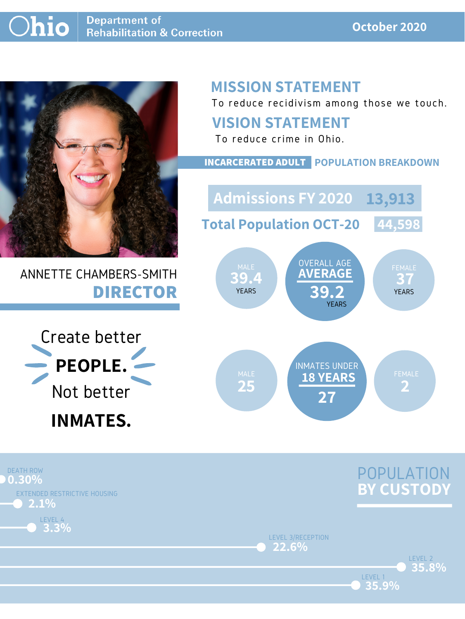#### **October 2020**



# ANNETTE CHAMBERS-SMITH **DIRECTOR**

# **MISSION STATEMENT**

To reduce recidivism among those we touch.





LEVEL 2

LEVEL 3/RECEPTION **22.6%**

LEVEL 1

**35.9%**

**35.8%**

#### **VISION STATEMENT**



To reduce crime in Ohio.

**39.4 37 AVERAGE 39.2** OVERALL AGE YEARS YEARS **YEARS** YEARS **YEARS** MALE VYLNALL AUL VERMALE **Admissions FY 2020 13,913Total Population OCT-20 44,598**

#### **INCARCERATED ADULT POPULATION BREAKDOWN**

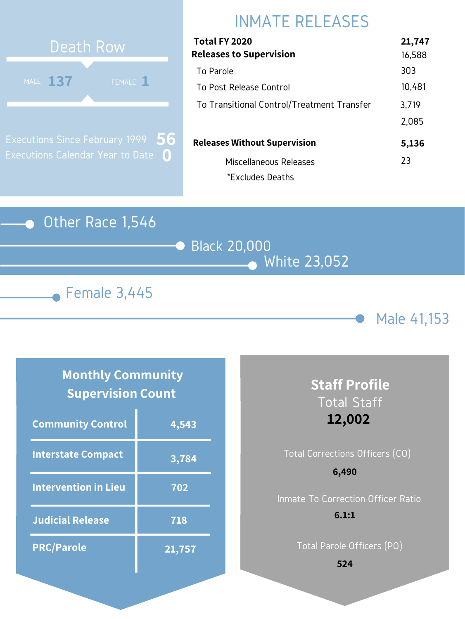#### Other Race 1,546







# INMATE RELEASES

| Total FY 2020                              | 21,747 |
|--------------------------------------------|--------|
| <b>Releases to Supervision</b>             | 16,588 |
| To Parole                                  | 303    |
| To Post Release Control                    | 10,481 |
| To Transitional Control/Treatment Transfer | 3,719  |
|                                            | 2,085  |
| <b>Releases Without Supervision</b>        | 5,136  |
| Miscellaneous Releases                     | 23     |
| *Excludes Deaths                           |        |



Executions Since February 1999 Executions Calendar Year to Date **0 56**

#### **Monthly Community Supervision Count**

| <b>Community Control</b>    | 4,543  |
|-----------------------------|--------|
| <b>Interstate Compact</b>   | 3,784  |
| <b>Intervention in Lieu</b> | 702    |
| <b>Judicial Release</b>     | 718    |
| <b>PRC/Parole</b>           | 21,757 |

### **Staff Profile** Total Staff **12,002**

## Total Corrections Officers (CO) Inmate To Correction Officer Ratio **6,490 6.1:1**

Total Parole Officers (PO)

**524**